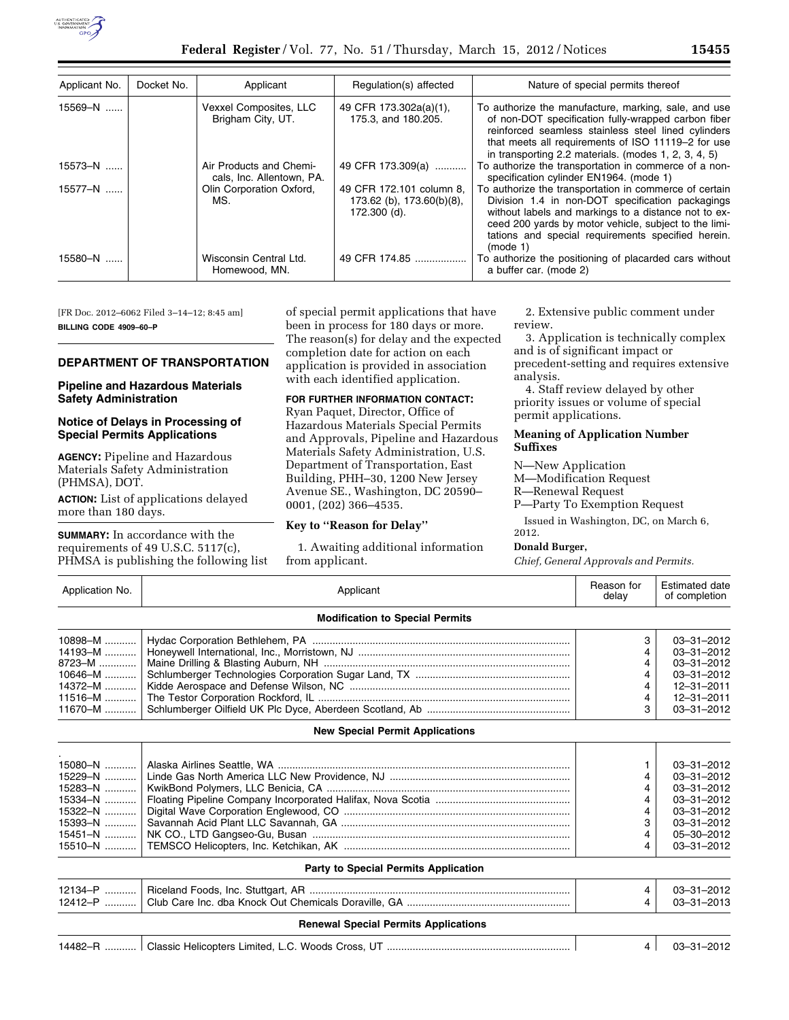

| Applicant No. | Docket No. | Applicant                                            | Regulation(s) affected                                                | Nature of special permits thereof                                                                                                                                                                                                                                                            |
|---------------|------------|------------------------------------------------------|-----------------------------------------------------------------------|----------------------------------------------------------------------------------------------------------------------------------------------------------------------------------------------------------------------------------------------------------------------------------------------|
| 15569-N       |            | Vexxel Composites, LLC<br>Brigham City, UT.          | 49 CFR 173.302a(a)(1),<br>175.3, and 180.205.                         | To authorize the manufacture, marking, sale, and use<br>of non-DOT specification fully-wrapped carbon fiber<br>reinforced seamless stainless steel lined cylinders<br>that meets all requirements of ISO 11119-2 for use<br>in transporting 2.2 materials. (modes 1, 2, 3, 4, 5)             |
| $15573 - N$   |            | Air Products and Chemi-<br>cals. Inc. Allentown, PA. | 49 CFR 173.309(a)                                                     | To authorize the transportation in commerce of a non-<br>specification cylinder EN1964. (mode 1)                                                                                                                                                                                             |
| 15577-N       |            | Olin Corporation Oxford,<br>MS.                      | 49 CFR 172.101 column 8.<br>173.62 (b), 173.60(b)(8),<br>172.300 (d). | To authorize the transportation in commerce of certain<br>Division 1.4 in non-DOT specification packagings<br>without labels and markings to a distance not to ex-<br>ceed 200 yards by motor vehicle, subject to the limi-<br>tations and special requirements specified herein.<br>(mod 1) |
| 15580-N       |            | Wisconsin Central Ltd.<br>Homewood, MN.              | 49 CFR 174.85                                                         | To authorize the positioning of placarded cars without<br>a buffer car. (mode 2)                                                                                                                                                                                                             |

[FR Doc. 2012–6062 Filed 3–14–12; 8:45 am] **BILLING CODE 4909–60–P** 

# **DEPARTMENT OF TRANSPORTATION**

## **Pipeline and Hazardous Materials Safety Administration**

### **Notice of Delays in Processing of Special Permits Applications**

**AGENCY:** Pipeline and Hazardous Materials Safety Administration (PHMSA), DOT.

**ACTION:** List of applications delayed more than 180 days.

**SUMMARY:** In accordance with the requirements of 49 U.S.C. 5117(c), PHMSA is publishing the following list of special permit applications that have been in process for 180 days or more. The reason(s) for delay and the expected completion date for action on each application is provided in association with each identified application.

# **FOR FURTHER INFORMATION CONTACT:**

Ryan Paquet, Director, Office of Hazardous Materials Special Permits and Approvals, Pipeline and Hazardous Materials Safety Administration, U.S. Department of Transportation, East Building, PHH–30, 1200 New Jersey Avenue SE., Washington, DC 20590– 0001, (202) 366–4535.

## **Key to ''Reason for Delay''**

1. Awaiting additional information from applicant.

2. Extensive public comment under review.

3. Application is technically complex and is of significant impact or precedent-setting and requires extensive

analysis. 4. Staff review delayed by other

priority issues or volume of special permit applications.

## **Meaning of Application Number Suffixes**

N—New Application

- M—Modification Request
- R—Renewal Request
- P—Party To Exemption Request

Issued in Washington, DC, on March 6, 2012.

# **Donald Burger,**

*Chief, General Approvals and Permits.* 

| Application No.                                                                      | Applicant                              |                            | Estimated date<br>of completion                                                                                                                        |
|--------------------------------------------------------------------------------------|----------------------------------------|----------------------------|--------------------------------------------------------------------------------------------------------------------------------------------------------|
|                                                                                      | <b>Modification to Special Permits</b> |                            |                                                                                                                                                        |
| 10898-M<br>14193-M<br>8723–M …………                                                    |                                        | 3                          | $03 - 31 - 2012$<br>03-31-2012<br>$03 - 31 - 2012$                                                                                                     |
| 10646-M<br>14372-M<br>11516–M<br>11670-M                                             |                                        | 4<br>4<br>4<br>3           | $03 - 31 - 2012$<br>$12 - 31 - 2011$<br>$12 - 31 - 2011$<br>$03 - 31 - 2012$                                                                           |
|                                                                                      | <b>New Special Permit Applications</b> |                            |                                                                                                                                                        |
| 15080-N<br>15229-N<br>15283-N<br>15334-N<br>15322-N<br>15393-N<br>15451-N<br>15510-N |                                        | 4<br>4<br>4<br>3<br>4<br>4 | $03 - 31 - 2012$<br>$03 - 31 - 2012$<br>$03 - 31 - 2012$<br>$03 - 31 - 2012$<br>$03 - 31 - 2012$<br>$03 - 31 - 2012$<br>05-30-2012<br>$03 - 31 - 2012$ |

| Party to Special Permits Application |                                             |  |                          |  |  |  |
|--------------------------------------|---------------------------------------------|--|--------------------------|--|--|--|
|                                      |                                             |  | 03-31-2012<br>03-31-2013 |  |  |  |
|                                      | <b>Renewal Special Permits Applications</b> |  |                          |  |  |  |

14482–R ........... Classic Helicopters Limited, L.C. Woods Cross, UT ................................................................ 4 03–31–2012